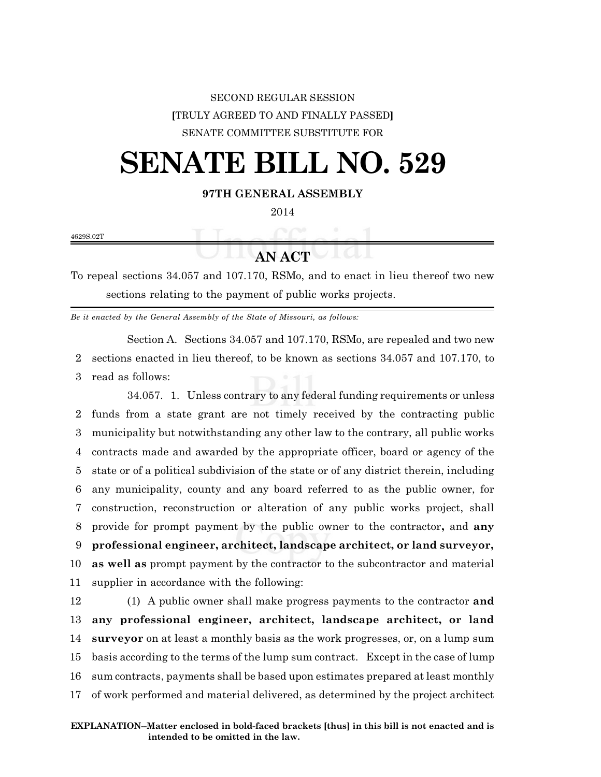## SECOND REGULAR SESSION **[**TRULY AGREED TO AND FINALLY PASSED**]** SENATE COMMITTEE SUBSTITUTE FOR

# **SENATE BILL NO. 529**

### **97TH GENERAL ASSEMBLY**

2014

4629S.02T

## **AN ACT**

To repeal sections 34.057 and 107.170, RSMo, and to enact in lieu thereof two new sections relating to the payment of public works projects.

*Be it enacted by the General Assembly of the State of Missouri, as follows:*

Section A. Sections 34.057 and 107.170, RSMo, are repealed and two new 2 sections enacted in lieu thereof, to be known as sections 34.057 and 107.170, to 3 read as follows:

34.057. 1. Unless contrary to any federal funding requirements or unless funds from a state grant are not timely received by the contracting public municipality but notwithstanding any other law to the contrary, all public works contracts made and awarded by the appropriate officer, board or agency of the state or of a political subdivision of the state or of any district therein, including any municipality, county and any board referred to as the public owner, for construction, reconstruction or alteration of any public works project, shall provide for prompt payment by the public owner to the contractor**,** and **any professional engineer, architect, landscape architect, or land surveyor, as well as** prompt payment by the contractor to the subcontractor and material supplier in accordance with the following:

 (1) A public owner shall make progress payments to the contractor **and any professional engineer, architect, landscape architect, or land surveyor** on at least a monthly basis as the work progresses, or, on a lump sum basis according to the terms of the lump sum contract. Except in the case of lump sum contracts, payments shall be based upon estimates prepared at least monthly of work performed and material delivered, as determined by the project architect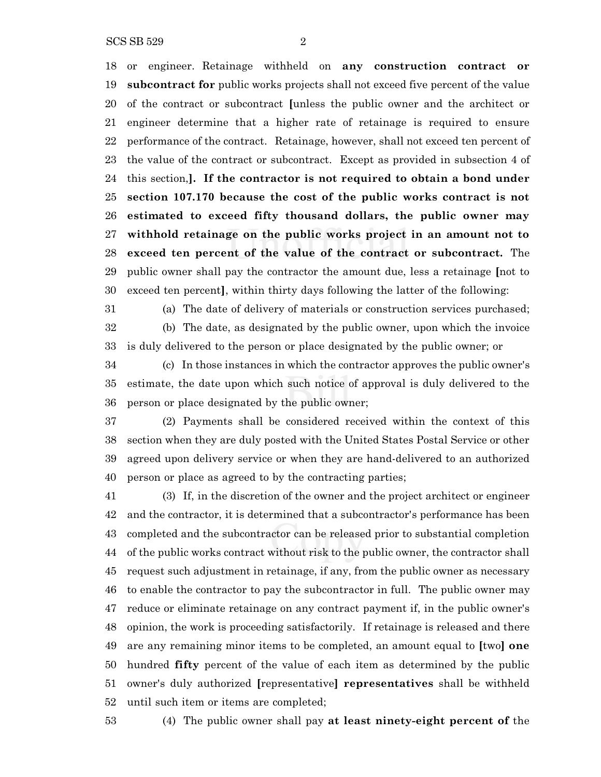SCS SB 529 2

 or engineer. Retainage withheld on **any construction contract or subcontract for** public works projects shall not exceed five percent of the value

 of the contract or subcontract **[**unless the public owner and the architect or engineer determine that a higher rate of retainage is required to ensure performance of the contract. Retainage, however, shall not exceed ten percent of the value of the contract or subcontract. Except as provided in subsection 4 of this section,**]. If the contractor is not required to obtain a bond under section 107.170 because the cost of the public works contract is not estimated to exceed fifty thousand dollars, the public owner may withhold retainage on the public works project in an amount not to exceed ten percent of the value of the contract or subcontract.** The public owner shall pay the contractor the amount due, less a retainage **[**not to exceed ten percent**]**, within thirty days following the latter of the following:

 (a) The date of delivery of materials or construction services purchased; (b) The date, as designated by the public owner, upon which the invoice is duly delivered to the person or place designated by the public owner; or

 (c) In those instances in which the contractor approves the public owner's estimate, the date upon which such notice of approval is duly delivered to the person or place designated by the public owner;

 (2) Payments shall be considered received within the context of this section when they are duly posted with the United States Postal Service or other agreed upon delivery service or when they are hand-delivered to an authorized person or place as agreed to by the contracting parties;

 (3) If, in the discretion of the owner and the project architect or engineer and the contractor, it is determined that a subcontractor's performance has been completed and the subcontractor can be released prior to substantial completion of the public works contract without risk to the public owner, the contractor shall request such adjustment in retainage, if any, from the public owner as necessary to enable the contractor to pay the subcontractor in full. The public owner may reduce or eliminate retainage on any contract payment if, in the public owner's opinion, the work is proceeding satisfactorily. If retainage is released and there are any remaining minor items to be completed, an amount equal to **[**two**] one** hundred **fifty** percent of the value of each item as determined by the public owner's duly authorized **[**representative**] representatives** shall be withheld until such item or items are completed;

(4) The public owner shall pay **at least ninety-eight percent of** the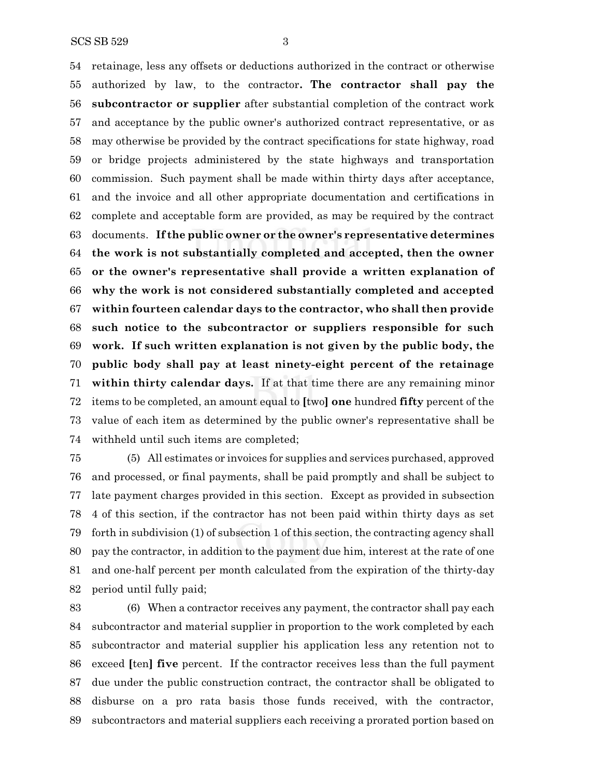retainage, less any offsets or deductions authorized in the contract or otherwise authorized by law, to the contractor**. The contractor shall pay the subcontractor or supplier** after substantial completion of the contract work and acceptance by the public owner's authorized contract representative, or as may otherwise be provided by the contract specifications for state highway, road or bridge projects administered by the state highways and transportation commission. Such payment shall be made within thirty days after acceptance, and the invoice and all other appropriate documentation and certifications in complete and acceptable form are provided, as may be required by the contract documents. **If the public owner or the owner's representative determines the work is not substantially completed and accepted, then the owner or the owner's representative shall provide a written explanation of why the work is not considered substantially completed and accepted within fourteen calendar days to the contractor, who shall then provide such notice to the subcontractor or suppliers responsible for such work. If such written explanation is not given by the public body, the public body shall pay at least ninety-eight percent of the retainage within thirty calendar days.** If at that time there are any remaining minor items to be completed, an amount equal to **[**two**] one** hundred **fifty** percent of the value of each item as determined by the public owner's representative shall be withheld until such items are completed;

 (5) All estimates or invoices for supplies and services purchased, approved and processed, or final payments, shall be paid promptly and shall be subject to late payment charges provided in this section. Except as provided in subsection 4 of this section, if the contractor has not been paid within thirty days as set forth in subdivision (1) of subsection 1 of this section, the contracting agency shall pay the contractor, in addition to the payment due him, interest at the rate of one and one-half percent per month calculated from the expiration of the thirty-day period until fully paid;

 (6) When a contractor receives any payment, the contractor shall pay each subcontractor and material supplier in proportion to the work completed by each subcontractor and material supplier his application less any retention not to exceed **[**ten**] five** percent. If the contractor receives less than the full payment due under the public construction contract, the contractor shall be obligated to disburse on a pro rata basis those funds received, with the contractor, subcontractors and material suppliers each receiving a prorated portion based on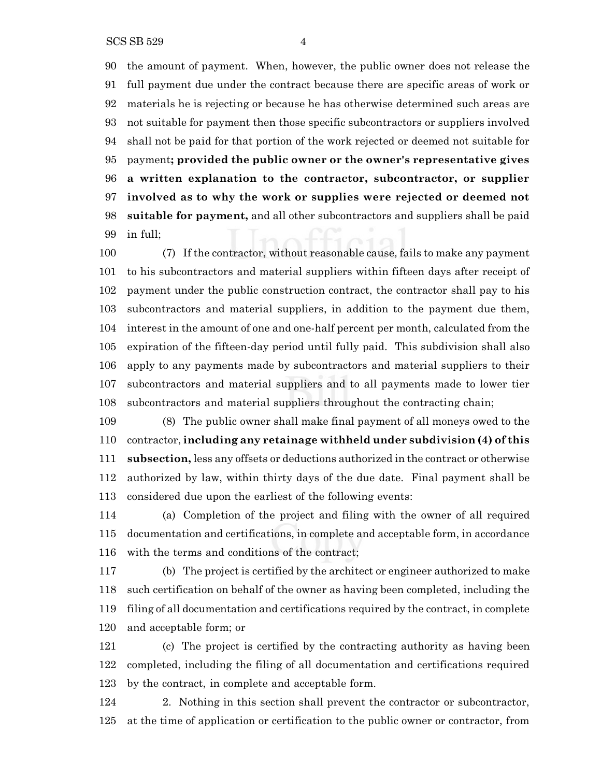the amount of payment. When, however, the public owner does not release the full payment due under the contract because there are specific areas of work or materials he is rejecting or because he has otherwise determined such areas are not suitable for payment then those specific subcontractors or suppliers involved shall not be paid for that portion of the work rejected or deemed not suitable for payment**; provided the public owner or the owner's representative gives a written explanation to the contractor, subcontractor, or supplier involved as to why the work or supplies were rejected or deemed not suitable for payment,** and all other subcontractors and suppliers shall be paid in full;

 (7) If the contractor, without reasonable cause, fails to make any payment to his subcontractors and material suppliers within fifteen days after receipt of payment under the public construction contract, the contractor shall pay to his subcontractors and material suppliers, in addition to the payment due them, interest in the amount of one and one-half percent per month, calculated from the expiration of the fifteen-day period until fully paid. This subdivision shall also apply to any payments made by subcontractors and material suppliers to their subcontractors and material suppliers and to all payments made to lower tier subcontractors and material suppliers throughout the contracting chain;

 (8) The public owner shall make final payment of all moneys owed to the contractor, **including any retainage withheld under subdivision (4) of this subsection,** less any offsets or deductions authorized in the contract or otherwise authorized by law, within thirty days of the due date. Final payment shall be considered due upon the earliest of the following events:

 (a) Completion of the project and filing with the owner of all required documentation and certifications, in complete and acceptable form, in accordance with the terms and conditions of the contract;

 (b) The project is certified by the architect or engineer authorized to make such certification on behalf of the owner as having been completed, including the filing of all documentation and certifications required by the contract, in complete and acceptable form; or

 (c) The project is certified by the contracting authority as having been completed, including the filing of all documentation and certifications required by the contract, in complete and acceptable form.

124 2. Nothing in this section shall prevent the contractor or subcontractor, at the time of application or certification to the public owner or contractor, from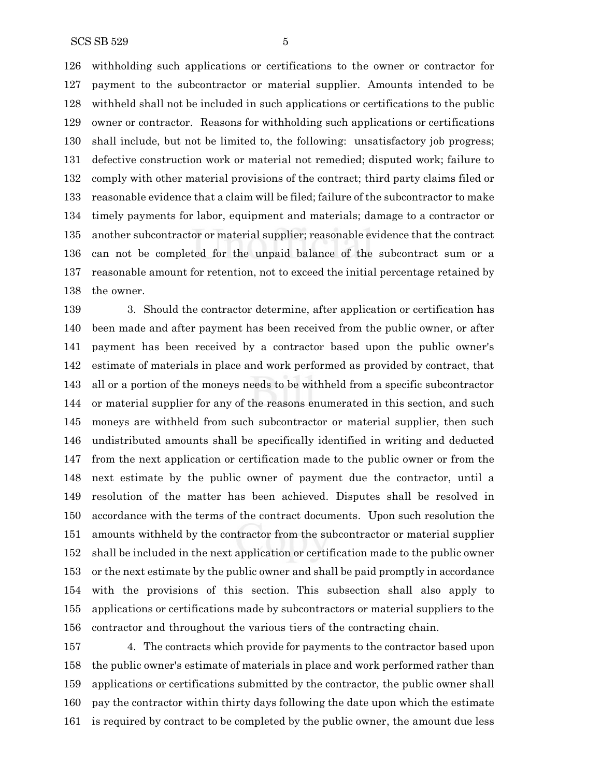withholding such applications or certifications to the owner or contractor for payment to the subcontractor or material supplier. Amounts intended to be withheld shall not be included in such applications or certifications to the public owner or contractor. Reasons for withholding such applications or certifications shall include, but not be limited to, the following: unsatisfactory job progress; defective construction work or material not remedied; disputed work; failure to comply with other material provisions of the contract; third party claims filed or reasonable evidence that a claim will be filed; failure of the subcontractor to make timely payments for labor, equipment and materials; damage to a contractor or another subcontractor or material supplier; reasonable evidence that the contract can not be completed for the unpaid balance of the subcontract sum or a reasonable amount for retention, not to exceed the initial percentage retained by the owner.

 3. Should the contractor determine, after application or certification has been made and after payment has been received from the public owner, or after payment has been received by a contractor based upon the public owner's estimate of materials in place and work performed as provided by contract, that all or a portion of the moneys needs to be withheld from a specific subcontractor or material supplier for any of the reasons enumerated in this section, and such moneys are withheld from such subcontractor or material supplier, then such undistributed amounts shall be specifically identified in writing and deducted from the next application or certification made to the public owner or from the next estimate by the public owner of payment due the contractor, until a resolution of the matter has been achieved. Disputes shall be resolved in accordance with the terms of the contract documents. Upon such resolution the amounts withheld by the contractor from the subcontractor or material supplier shall be included in the next application or certification made to the public owner or the next estimate by the public owner and shall be paid promptly in accordance with the provisions of this section. This subsection shall also apply to applications or certifications made by subcontractors or material suppliers to the contractor and throughout the various tiers of the contracting chain.

 4. The contracts which provide for payments to the contractor based upon the public owner's estimate of materials in place and work performed rather than applications or certifications submitted by the contractor, the public owner shall pay the contractor within thirty days following the date upon which the estimate is required by contract to be completed by the public owner, the amount due less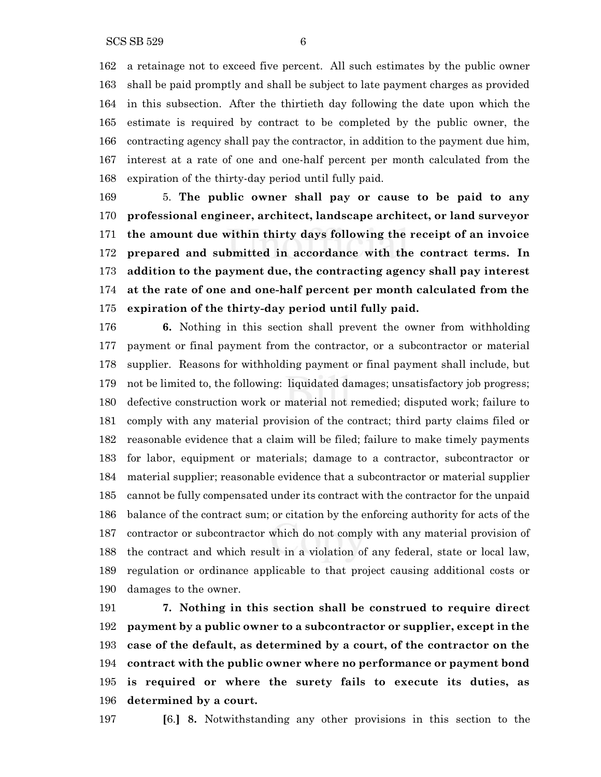a retainage not to exceed five percent. All such estimates by the public owner shall be paid promptly and shall be subject to late payment charges as provided in this subsection. After the thirtieth day following the date upon which the estimate is required by contract to be completed by the public owner, the contracting agency shall pay the contractor, in addition to the payment due him, interest at a rate of one and one-half percent per month calculated from the expiration of the thirty-day period until fully paid.

 5. **The public owner shall pay or cause to be paid to any professional engineer, architect, landscape architect, or land surveyor the amount due within thirty days following the receipt of an invoice prepared and submitted in accordance with the contract terms. In addition to the payment due, the contracting agency shall pay interest at the rate of one and one-half percent per month calculated from the expiration of the thirty-day period until fully paid.**

 **6.** Nothing in this section shall prevent the owner from withholding payment or final payment from the contractor, or a subcontractor or material supplier. Reasons for withholding payment or final payment shall include, but not be limited to, the following: liquidated damages; unsatisfactory job progress; defective construction work or material not remedied; disputed work; failure to comply with any material provision of the contract; third party claims filed or reasonable evidence that a claim will be filed; failure to make timely payments for labor, equipment or materials; damage to a contractor, subcontractor or material supplier; reasonable evidence that a subcontractor or material supplier cannot be fully compensated under its contract with the contractor for the unpaid balance of the contract sum; or citation by the enforcing authority for acts of the contractor or subcontractor which do not comply with any material provision of the contract and which result in a violation of any federal, state or local law, regulation or ordinance applicable to that project causing additional costs or damages to the owner.

 **7. Nothing in this section shall be construed to require direct payment by a public owner to a subcontractor or supplier, except in the case of the default, as determined by a court, of the contractor on the contract with the public owner where no performance or payment bond is required or where the surety fails to execute its duties, as determined by a court.**

**[**6.**] 8.** Notwithstanding any other provisions in this section to the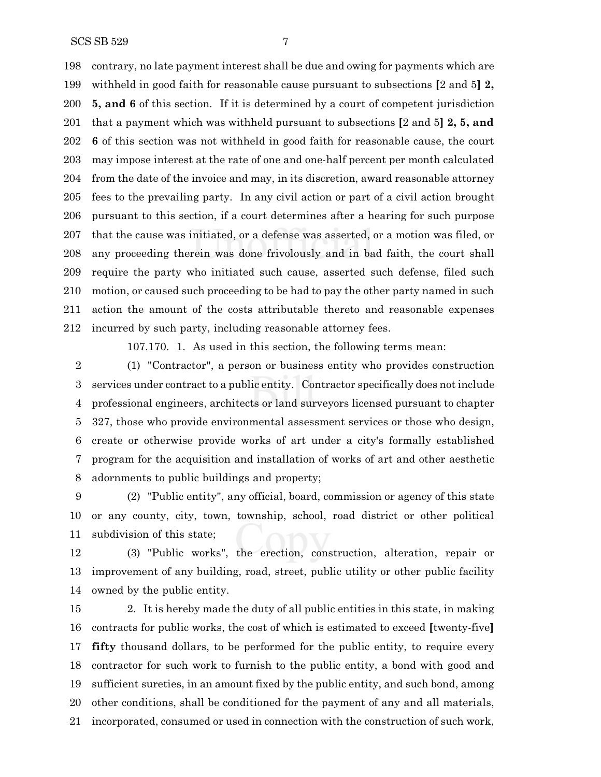contrary, no late payment interest shall be due and owing for payments which are withheld in good faith for reasonable cause pursuant to subsections **[**2 and 5**] 2, 5, and 6** of this section. If it is determined by a court of competent jurisdiction that a payment which was withheld pursuant to subsections **[**2 and 5**] 2, 5, and 6** of this section was not withheld in good faith for reasonable cause, the court may impose interest at the rate of one and one-half percent per month calculated from the date of the invoice and may, in its discretion, award reasonable attorney fees to the prevailing party. In any civil action or part of a civil action brought pursuant to this section, if a court determines after a hearing for such purpose that the cause was initiated, or a defense was asserted, or a motion was filed, or any proceeding therein was done frivolously and in bad faith, the court shall require the party who initiated such cause, asserted such defense, filed such motion, or caused such proceeding to be had to pay the other party named in such action the amount of the costs attributable thereto and reasonable expenses incurred by such party, including reasonable attorney fees.

107.170. 1. As used in this section, the following terms mean:

 (1) "Contractor", a person or business entity who provides construction services under contract to a public entity. Contractor specifically does not include professional engineers, architects or land surveyors licensed pursuant to chapter 327, those who provide environmental assessment services or those who design, create or otherwise provide works of art under a city's formally established program for the acquisition and installation of works of art and other aesthetic adornments to public buildings and property;

 (2) "Public entity", any official, board, commission or agency of this state or any county, city, town, township, school, road district or other political subdivision of this state;

 (3) "Public works", the erection, construction, alteration, repair or improvement of any building, road, street, public utility or other public facility owned by the public entity.

 2. It is hereby made the duty of all public entities in this state, in making contracts for public works, the cost of which is estimated to exceed **[**twenty-five**] fifty** thousand dollars, to be performed for the public entity, to require every contractor for such work to furnish to the public entity, a bond with good and sufficient sureties, in an amount fixed by the public entity, and such bond, among other conditions, shall be conditioned for the payment of any and all materials, incorporated, consumed or used in connection with the construction of such work,